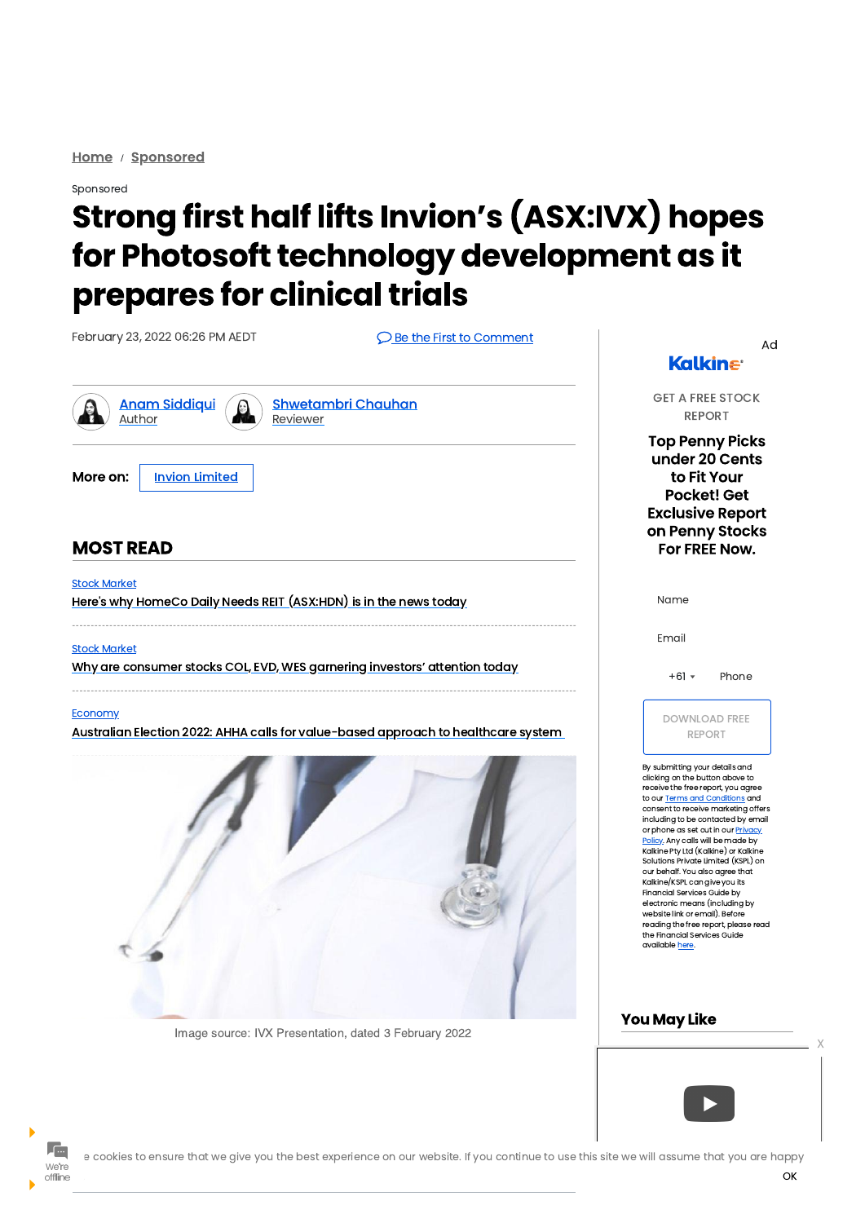Home / Sponsored

### Sponsored

# **Strong first half lifts Invion's (ASX:IVX) hopes** for Photosoft technology development as it prepares for clinical trials

February 23, 2022 06:26 PM AEDT

**Q** Be the First to Comment





**Shwetambri Chauhan** Reviewer



**Invion Limited** 

# **MOST READ**

**Stock Market** Here's why HomeCo Daily Needs REIT (ASX:HDN) is in the news today

**Stock Market** 

Why are consumer stocks COL, EVD, WES garnering investors' attention today

### **Economy**

Australian Election 2022: AHHA calls for value-based approach to healthcare system



**Kalkine** 

Ad

**GET A FREE STOCK REPORT** 

**Top Penny Picks** under 20 Cents to Fit Your **Pocket! Get Exclusive Report** on Penny Stocks For FREE Now.

Name

Email

 $+61$   $\star$ Phone

**DOWNLOAD FREE REPORT** 

By submitting your details and clicking on the button above to receive the free report, you agree to our Terms and Conditions and consent to receive marketing offers including to be contacted by email or phone as set out in our Privacy Policy. Any calls will be made by Kalkine Pty Ltd (Kalkine) or Kalkine Solutions Private Limited (KSPL) on our behalf. You also agree that Kalkine/KSPL can give you its **Financial Services Guide by** electronic means (including by website link or email). Before

#### Image source: IVX Presentation, dated 3 February 2022

reading the free report, please read the Financial Services Guide available here.

# **You May Like**



offline

e cookies to ensure that we give you the best experience on our website. If you continue to use this site we will assume that you are happy

OK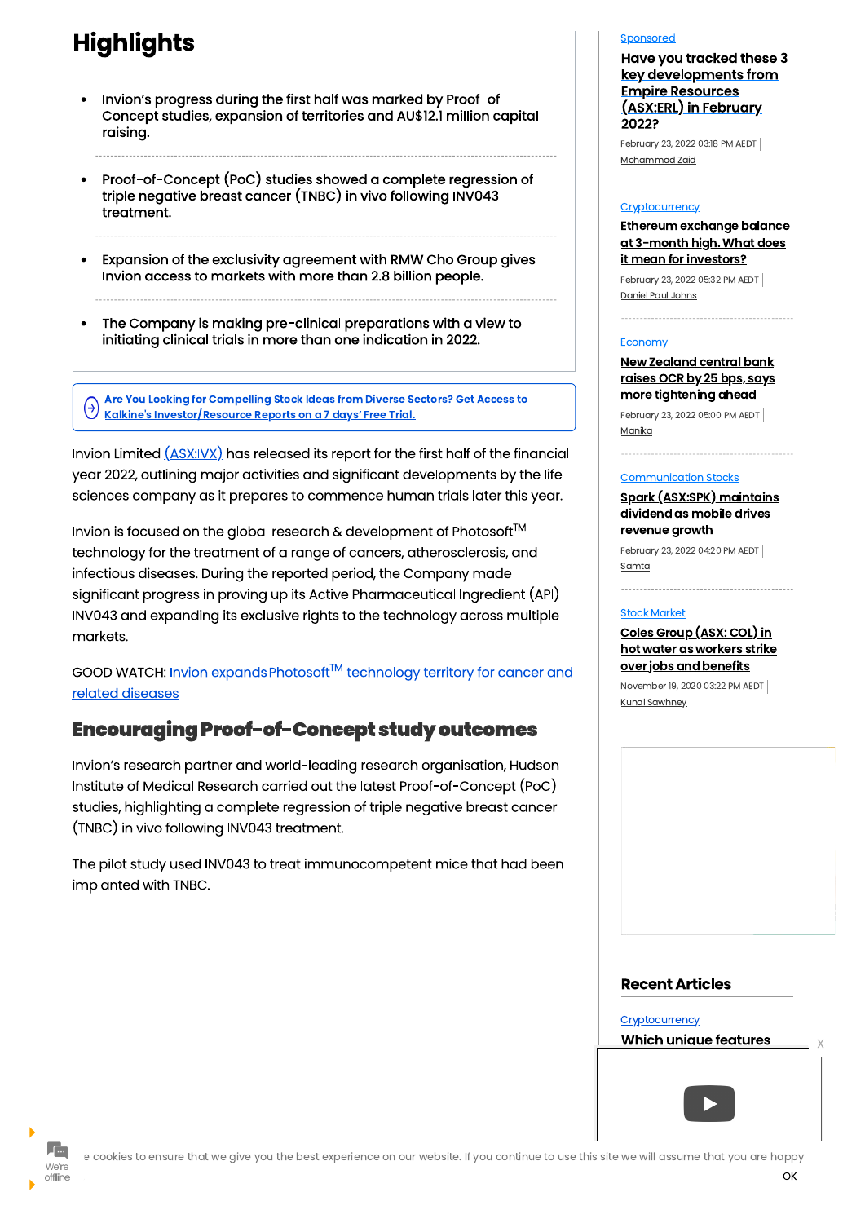# **Highlights**

- Invion's progress during the first half was marked by Proof-of-Concept studies, expansion of territories and AU\$12.1 million capital raising.
- Proof-of-Concept (PoC) studies showed a complete regression of  $\bullet$ triple negative breast cancer (TNBC) in vivo following INV043 treatment.
- Expansion of the exclusivity agreement with RMW Cho Group gives Invion access to markets with more than 2.8 billion people.
- The Company is making pre-clinical preparations with a view to initiating clinical trials in more than one indication in 2022.

Are You Looking for Compelling Stock Ideas from Diverse Sectors? Get Access to  $(\rightarrow)$ Kalkine's Investor/Resource Reports on a 7 days' Free Trial.

Invion Limited  $(ASX:IVX)$  has released its report for the first half of the financial year 2022, outlining major activities and significant developments by the life sciences company as it prepares to commence human trials later this year.

Invion is focused on the global research & development of Photosoft<sup>TM</sup> technology for the treatment of a range of cancers, atherosclerosis, and infectious diseases. During the reported period, the Company made significant progress in proving up its Active Pharmaceutical Ingredient (API) INV043 and expanding its exclusive rights to the technology across multiple markets.

GOOD WATCH: Invion expands Photosoft<sup>™</sup> technology territory for cancer and related diseases

# **Encouraging Proof-of-Concept study outcomes**

Invion's research partner and world-leading research organisation, Hudson Institute of Medical Research carried out the latest Proof-of-Concept (PoC) studies, highlighting a complete regression of triple negative breast cancer (TNBC) in vivo following INV043 treatment.

The pilot study used INV043 to treat immunocompetent mice that had been implanted with TNBC.

### Sponsored

**Have you tracked these 3** key developments from **Empire Resources** (ASX:ERL) in February 2022?

February 23, 2022 03:18 PM AEDT Mohammad Zaid

### **Cryptocurrency**

Ethereum exchange balance <u>at 3-month high. What does</u> <u>it mean for investors?</u>

February 23, 2022 05:32 PM AEDT Daniel Paul Johns

### **Economy**

**New Zealand central bank** raises OCR by 25 bps, says more tightening ahead

February 23, 2022 05:00 PM AEDT Manika

## **Communication Stocks**

<u>Spark (ASX:SPK) maintains</u> dividend as mobile drives revenue growth

February 23, 2022 04:20 PM AEDT Samta

### **Stock Market**

Coles Group (ASX: COL) in hot water as workers strike <u>over jobs and benefits</u>

November 19, 2020 03:22 PM AEDT **Kunal Sawhney** 





e cookies to ensure that we give you the best experience on our website. If you continue to use this site we will assume that you are happy OK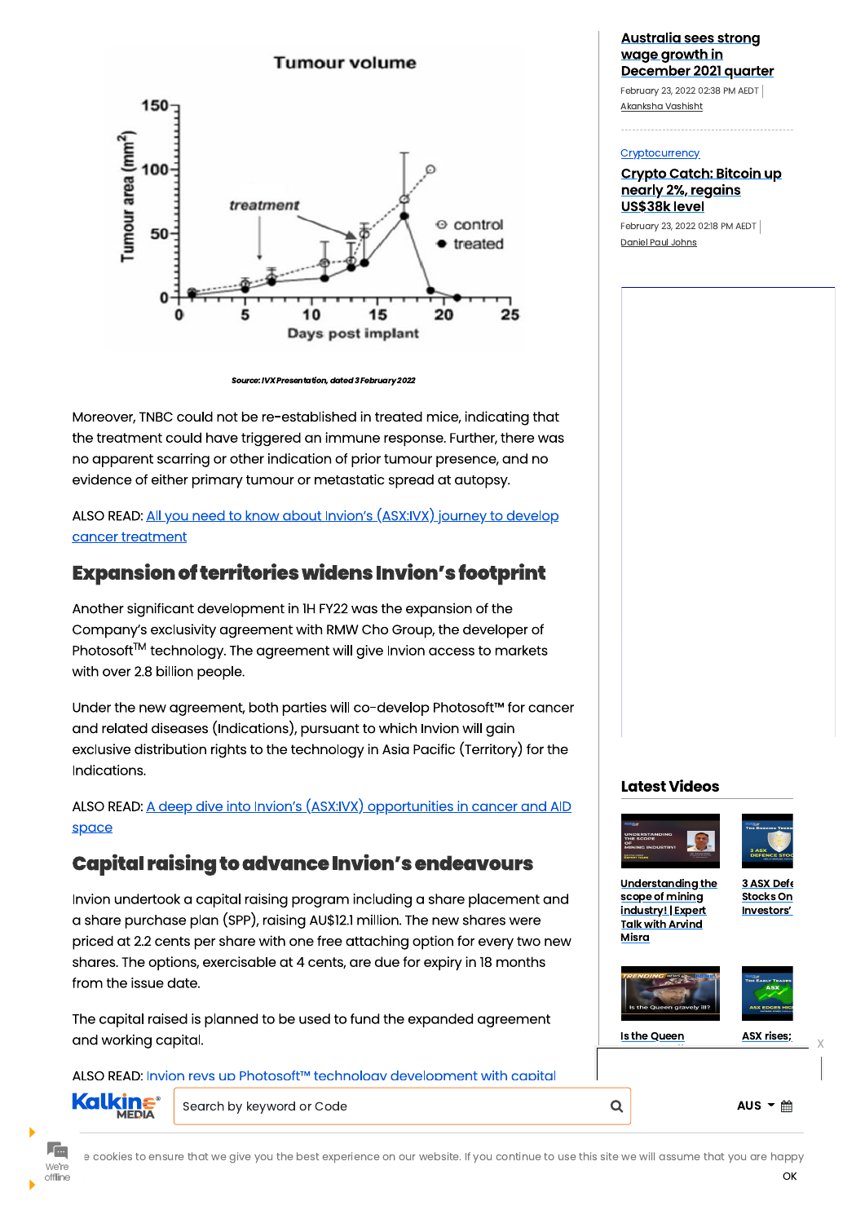

Source: IVX Presentation, dated 3 February 2022

Moreover, TNBC could not be re-established in treated mice, indicating that the treatment could have triggered an immune response. Further, there was no apparent scarring or other indication of prior tumour presence, and no evidence of either primary tumour or metastatic spread at autopsy.

# ALSO READ: All you need to know about Invion's (ASX:IVX) journey to develop cancer treatment

# **Expansion of territories widens Invion's footprint**

Another significant development in 1H FY22 was the expansion of the Company's exclusivity agreement with RMW Cho Group, the developer of Photosoft™ technology. The agreement will give Invion access to markets with over 2.8 billion people.

Under the new agreement, both parties will co-develop Photosoft™ for cancer and related diseases (Indications), pursuant to which Invion will gain exclusive distribution rights to the technology in Asia Pacific (Territory) for the Indications.

ALSO READ: A deep dive into Invion's (ASX:IVX) opportunities in cancer and AID space

# **Capital raising to advance Invion's endeavours**

Invion undertook a capital raising program including a share placement and a share purchase plan (SPP), raising AU\$12.1 million. The new shares were priced at 2.2 cents per share with one free attaching option for every two new shares. The options, exercisable at 4 cents, are due for expiry in 18 months from the issue date.

# **Australia sees strong** <u>wage growth in</u> December 2021 quarter

February 23, 2022 02:38 PM AEDT Akanksha Vashisht

## Cryptocurrency

**Crypto Catch: Bitcoin up** nearly 2%, regains US\$38k level

February 23, 2022 02:18 PM AEDT Daniel Paul Johns

# **Latest Videos**





**Understanding the** scope of mining industry! | Expert

3 ASX Defe **Stocks On** Investors'

The capital raised is planned to be used to fund the expanded agreement and working capital.

ALSO READ: Invion revs up Photosoft™ technology development with capital





**Fm** We're offline

Þ

e cookies to ensure that we give you the best experience on our website. If you continue to use this site we will assume that you are happy OK



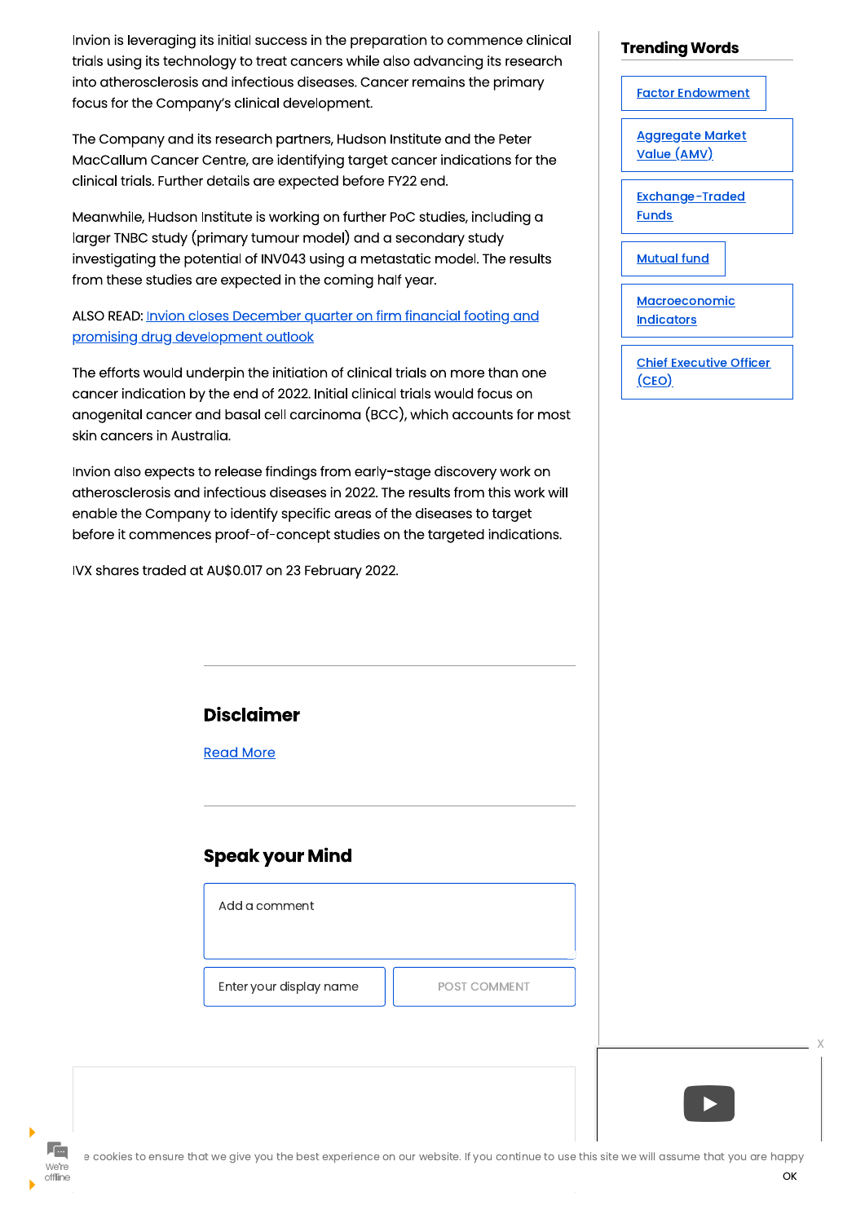Invion is leveraging its initial success in the preparation to commence clinical trials using its technology to treat cancers while also advancing its research into atherosclerosis and infectious diseases. Cancer remains the primary focus for the Company's clinical development.

The Company and its research partners, Hudson Institute and the Peter MacCallum Cancer Centre, are identifying target cancer indications for the clinical trials. Further details are expected before FY22 end.

Meanwhile, Hudson Institute is working on further PoC studies, including a larger TNBC study (primary tumour model) and a secondary study investigating the potential of INV043 using a metastatic model. The results from these studies are expected in the coming half year.

ALSO READ: Invion closes December quarter on firm financial footing and promising drug development outlook

The efforts would underpin the initiation of clinical trials on more than one cancer indication by the end of 2022. Initial clinical trials would focus on anogenital cancer and basal cell carcinoma (BCC), which accounts for most skin cancers in Australia.

Invion also expects to release findings from early-stage discovery work on atherosclerosis and infectious diseases in 2022. The results from this work will enable the Company to identify specific areas of the diseases to target before it commences proof-of-concept studies on the targeted indications.

IVX shares traded at AU\$0.017 on 23 February 2022.

# **Disclaimer**

**Read More** 

# **Speak your Mind**

Add a comment

| <b>Trending Words</b>                          |  |
|------------------------------------------------|--|
| <b>Factor Endowment</b>                        |  |
| <u> Aggregate Market</u><br><u>Value (AMV)</u> |  |
| Exchange-Traded<br><b>Funds</b>                |  |
| <b>Mutual fund</b>                             |  |
| <u>Macroeconomic</u><br><u>Indicators</u>      |  |
| <b>Chief Executive Officer</b><br>(CEO)        |  |

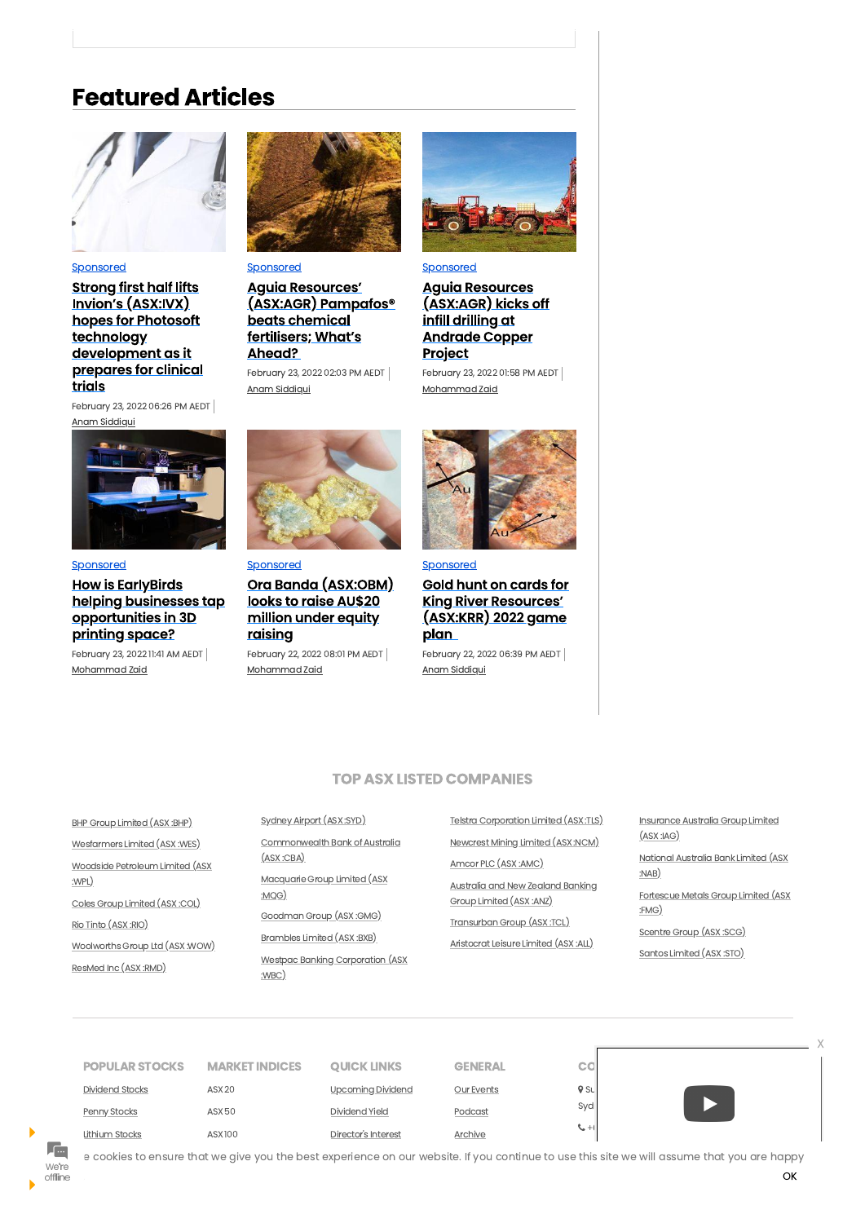# **Featured Articles**



#### Sponsored

**Strong first half lifts** <u>Invion's (ASX:IVX)</u> hopes for Photosoft technology development as it prepares for clinical trials

February 23, 2022 06:26 PM AEDT Anam Siddiqui



#### Sponsored

**How is Early Birds** helping businesses tap opportunities in 3D printing space?

February 23, 2022 11:41 AM AEDT Mohammad Zaid



### Sponsored

**Aguia Resources'** (ASX:AGR) Pampafos® beats chemical fertilisers; What's Ahead?

February 23, 2022 02:03 PM AEDT Anam Siddiqui



# Sponsored

**Aguia Resources** (ASX:AGR) kicks off infill drilling at **Andrade Copper** Project

February 23, 2022 01:58 PM AEDT Mohammad Zaid



### Sponsored

Ora Banda (ASX:OBM) looks to raise AU\$20 million under equity <u>raising</u>

February 22, 2022 08:01 PM AEDT Mohammad Zaid



### Sponsored

Gold hunt on cards for **King River Resources'** <u>(ASX:KRR) 2022 game</u> <u>plan</u>

February 22, 2022 06:39 PM AEDT Anam Siddiqui

# **TOP ASX LISTED COMPANIES**

**BHP Group Limited (ASX:BHP)** 

Wesfarmers Limited (ASX:WES)

Woodside Petroleum Limited (ASX :WPL)

Coles Group Limited (ASX:COL)

Sydney Airport (ASX:SYD)

Commonwealth Bank of Australia  $(ASX:CBA)$ 

Macquarie Group Limited (ASX :MQG)

Goodman Group (ASX:GMG)

Telstra Corporation Limited (ASX:TLS) Newcrest Mining Limited (ASX:NCM)

Amcor PLC (ASX:AMC)

**Australia and New Zealand Banking** Group Limited (ASX:ANZ)

Transurban Group (ASX:TCL)

Insurance Australia Group Limited  $(ASX: IAG)$ 

National Australia Bank Limited (ASX :NAB)

Fortescue Metals Group Limited (ASX  $:FMG)$ 

Rio Tinto (ASX:RIO)

 $\blacktriangleright$ 

Woolworths Group Ltd (ASX:WOW)

ResMed Inc (ASX:RMD)

Brambles Limited (ASX:BXB)

**Westpac Banking Corporation (ASX** :WBC)

Aristocrat Leisure Limited (ASX:ALL)

Scentre Group (ASX:SCG)

Santos Limited (ASX:STO)



e cookies to ensure that we give you the best experience on our website. If you continue to use this site we will assume that you are happy We're OK offline